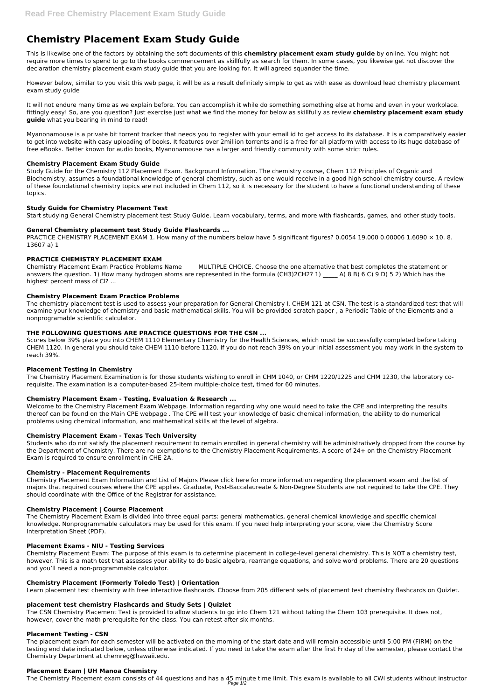# **Chemistry Placement Exam Study Guide**

This is likewise one of the factors by obtaining the soft documents of this **chemistry placement exam study guide** by online. You might not require more times to spend to go to the books commencement as skillfully as search for them. In some cases, you likewise get not discover the declaration chemistry placement exam study guide that you are looking for. It will agreed squander the time.

However below, similar to you visit this web page, it will be as a result definitely simple to get as with ease as download lead chemistry placement exam study guide

It will not endure many time as we explain before. You can accomplish it while do something something else at home and even in your workplace. fittingly easy! So, are you question? Just exercise just what we find the money for below as skillfully as review **chemistry placement exam study guide** what you bearing in mind to read!

PRACTICE CHEMISTRY PLACEMENT EXAM 1. How many of the numbers below have 5 significant figures? 0.0054 19.000 0.00006 1.6090  $\times$  10. 8. 13607 a) 1

Myanonamouse is a private bit torrent tracker that needs you to register with your email id to get access to its database. It is a comparatively easier to get into website with easy uploading of books. It features over 2million torrents and is a free for all platform with access to its huge database of free eBooks. Better known for audio books, Myanonamouse has a larger and friendly community with some strict rules.

# **Chemistry Placement Exam Study Guide**

Study Guide for the Chemistry 112 Placement Exam. Background Information. The chemistry course, Chem 112 Principles of Organic and Biochemistry, assumes a foundational knowledge of general chemistry, such as one would receive in a good high school chemistry course. A review of these foundational chemistry topics are not included in Chem 112, so it is necessary for the student to have a functional understanding of these topics.

# **Study Guide for Chemistry Placement Test**

Start studying General Chemistry placement test Study Guide. Learn vocabulary, terms, and more with flashcards, games, and other study tools.

# **General Chemistry placement test Study Guide Flashcards ...**

# **PRACTICE CHEMISTRY PLACEMENT EXAM**

Chemistry Placement Exam Practice Problems Name\_\_\_\_\_ MULTIPLE CHOICE. Choose the one alternative that best completes the statement or answers the question. 1) How many hydrogen atoms are represented in the formula (CH3)2CH2? 1) A) 8 B) 6 C) 9 D) 5 2) Which has the highest percent mass of Cl? ...

## **Chemistry Placement Exam Practice Problems**

The chemistry placement test is used to assess your preparation for General Chemistry I, CHEM 121 at CSN. The test is a standardized test that will examine your knowledge of chemistry and basic mathematical skills. You will be provided scratch paper , a Periodic Table of the Elements and a nonprogramable scientific calculator.

## **THE FOLLOWING QUESTIONS ARE PRACTICE QUESTIONS FOR THE CSN ...**

Scores below 39% place you into CHEM 1110 Elementary Chemistry for the Health Sciences, which must be successfully completed before taking CHEM 1120. In general you should take CHEM 1110 before 1120. If you do not reach 39% on your initial assessment you may work in the system to reach 39%.

## **Placement Testing in Chemistry**

The Chemistry Placement Examination is for those students wishing to enroll in CHM 1040, or CHM 1220/1225 and CHM 1230, the laboratory corequisite. The examination is a computer-based 25-item multiple-choice test, timed for 60 minutes.

## **Chemistry Placement Exam - Testing, Evaluation & Research ...**

Welcome to the Chemistry Placement Exam Webpage. Information regarding why one would need to take the CPE and interpreting the results thereof can be found on the Main CPE webpage . The CPE will test your knowledge of basic chemical information, the ability to do numerical problems using chemical information, and mathematical skills at the level of algebra.

## **Chemistry Placement Exam - Texas Tech University**

Students who do not satisfy the placement requirement to remain enrolled in general chemistry will be administratively dropped from the course by the Department of Chemistry. There are no exemptions to the Chemistry Placement Requirements. A score of 24+ on the Chemistry Placement Exam is required to ensure enrollment in CHE 2A.

## **Chemistry - Placement Requirements**

Chemistry Placement Exam Information and List of Majors Please click here for more information regarding the placement exam and the list of majors that required courses where the CPE applies. Graduate, Post-Baccalaureate & Non-Degree Students are not required to take the CPE. They should coordinate with the Office of the Registrar for assistance.

# **Chemistry Placement | Course Placement**

The Chemistry Placement Exam is divided into three equal parts: general mathematics, general chemical knowledge and specific chemical knowledge. Nonprogrammable calculators may be used for this exam. If you need help interpreting your score, view the Chemistry Score

Interpretation Sheet (PDF).

#### **Placement Exams - NIU - Testing Services**

Chemistry Placement Exam: The purpose of this exam is to determine placement in college-level general chemistry. This is NOT a chemistry test, however. This is a math test that assesses your ability to do basic algebra, rearrange equations, and solve word problems. There are 20 questions and you'll need a non-programmable calculator.

#### **Chemistry Placement (Formerly Toledo Test) | Orientation**

Learn placement test chemistry with free interactive flashcards. Choose from 205 different sets of placement test chemistry flashcards on Quizlet.

#### **placement test chemistry Flashcards and Study Sets | Quizlet**

The CSN Chemistry Placement Test is provided to allow students to go into Chem 121 without taking the Chem 103 prerequisite. It does not, however, cover the math prerequisite for the class. You can retest after six months.

#### **Placement Testing - CSN**

The placement exam for each semester will be activated on the morning of the start date and will remain accessible until 5:00 PM (FIRM) on the testing end date indicated below, unless otherwise indicated. If you need to take the exam after the first Friday of the semester, please contact the Chemistry Department at chemreg@hawaii.edu.

#### **Placement Exam | UH Manoa Chemistry**

The Chemistry Placement exam consists of 44 questions and has a 45 minute time limit. This exam is available to all CWI students without instructor Page 1/2